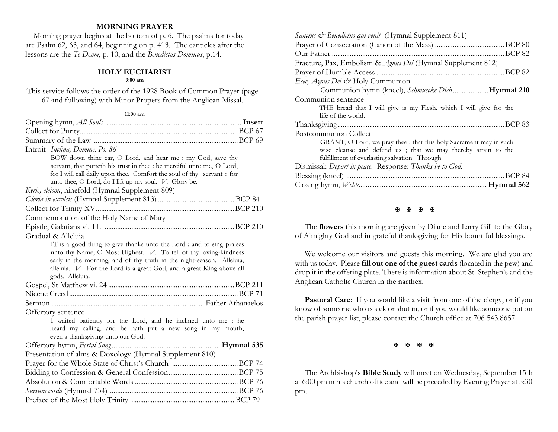## **MORNING PRAYER**

 Morning prayer begins at the bottom of p. 6. The psalms for today are Psalm 62, 63, and 64, beginning on p. 413. The canticles after the lessons are the *Te Deum*, p. 10, and the *Benedictus Dominus*, p.14.

# **HOLY EUCHARIST**

## **9:00 am**

This service follows the order of the 1928 Book of Common Prayer (page 67 and following) with Minor Propers from the Anglican Missal.

#### **11:00 am**

| Introit <i>Inclina</i> , <i>Domine</i> , <i>Ps. 86</i>                                  |  |
|-----------------------------------------------------------------------------------------|--|
| BOW down thine ear, O Lord, and hear me : my God, save thy                              |  |
| servant, that putteth his trust in thee : be merciful unto me, O Lord,                  |  |
| for I will call daily upon thee. Comfort the soul of thy servant : for                  |  |
| unto thee, O Lord, do I lift up my soul. V. Glory be.                                   |  |
| Kyrie, eleison, ninefold (Hymnal Supplement 809)                                        |  |
|                                                                                         |  |
|                                                                                         |  |
| Commemoration of the Holy Name of Mary                                                  |  |
|                                                                                         |  |
| Gradual & Alleluia                                                                      |  |
| IT is a good thing to give thanks unto the Lord : and to sing praises                   |  |
| unto thy Name, O Most Highest. V. To tell of thy loving-kindness                        |  |
| early in the morning, and of thy truth in the night-season. Alleluia,                   |  |
| alleluia. V. For the Lord is a great God, and a great King above all<br>gods. Alleluia. |  |
|                                                                                         |  |
|                                                                                         |  |
|                                                                                         |  |
|                                                                                         |  |
| Offertory sentence<br>I waited patiently for the Lord, and he inclined unto me : he     |  |
| heard my calling, and he hath put a new song in my mouth,                               |  |
| even a thanksgiving unto our God.                                                       |  |
|                                                                                         |  |
| Presentation of alms & Doxology (Hymnal Supplement 810)                                 |  |
|                                                                                         |  |
|                                                                                         |  |
|                                                                                         |  |
|                                                                                         |  |
|                                                                                         |  |
|                                                                                         |  |

| Sanctus & Benedictus qui venit (Hymnal Supplement 811)             |
|--------------------------------------------------------------------|
|                                                                    |
| .BCP 82<br>Our Father                                              |
| Fracture, Pax, Embolism & Agnus Dei (Hymnal Supplement 812)        |
|                                                                    |
| Ecee, Agnus Dei & Holy Communion                                   |
| Communion hymn (kneel), Schmuecke DichHymnal 210                   |
| Communion sentence                                                 |
| THE bread that I will give is my Flesh, which I will give for the  |
| life of the world.                                                 |
|                                                                    |
| Postcommunion Collect                                              |
| GRANT, O Lord, we pray thee : that this holy Sacrament may in such |
| wise cleanse and defend us ; that we may thereby attain to the     |
| fulfillment of everlasting salvation. Through.                     |
| Dismissal: Depart in peace. Response: Thanks be to God.            |
|                                                                    |
|                                                                    |
|                                                                    |

#### 医医图图

The **flowers** this morning are given by Diane and Larry Gill to the Glory of Almighty God and in grateful thanksgiving for His bountiful blessings.

We welcome our visitors and guests this morning. We are glad you are with us today. Please **fill out one of the guest cards** (located in the pew) and drop it in the offering plate. There is information about St. Stephen's and the Anglican Catholic Church in the narthex.

**Pastoral Care:** If you would like a visit from one of the clergy, or if you know of someone who is sick or shut in, or if you would like someone put on the parish prayer list, please contact the Church office at 706 543.8657.

**K K K K** 

The Archbishop's **Bible Study** will meet on Wednesday, September 15th at 6:00 pm in his church office and will be preceded by Evening Prayer at 5:30 pm.